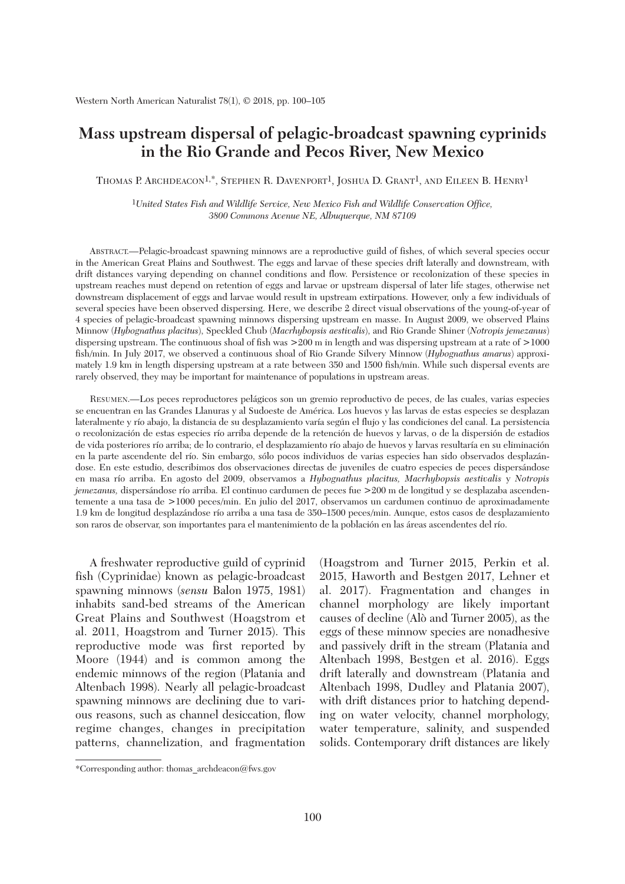## **Mass upstream dispersal of pelagic-broadcast spawning cyprinids in the Rio Grande and Pecos River, New Mexico**

THOMAS P. ARCHDEACON<sup>1,\*</sup>, Stephen R. Davenport<sup>1</sup>, Joshua D. Grant<sup>1</sup>, and Eileen B. Henry<sup>1</sup>

1*United States Fish and Wildlife Service, New Mexico Fish and Wildlife Conservation Office, 3800 Commons Avenue NE, Albuquerque, NM 87109*

 ABSTRACT.—Pelagic-broadcast spawning minnows are a reproductive guild of fishes, of which several species occur in the American Great Plains and Southwest. The eggs and larvae of these species drift laterally and downstream, with drift distances varying depending on channel conditions and flow. Persistence or recolonization of these species in upstream reaches must depend on retention of eggs and larvae or upstream dispersal of later life stages, otherwise net downstream displacement of eggs and larvae would result in upstream extirpations. However, only a few individuals of several species have been observed dispersing. Here, we describe 2 direct visual observations of the young-of-year of 4 species of pelagic-broadcast spawning minnows dispersing upstream en masse. In August 2009, we observed Plains Minnow (*Hybognathus placitus*), Speckled Chub (*Macrhybopsis aestivalis*), and Rio Grande Shiner (*Notropis jemezanus*) dispersing upstream. The continuous shoal of fish was >200 m in length and was dispersing upstream at a rate of >1000 fish/min. In July 2017, we observed a continuous shoal of Rio Grande Silvery Minnow (*Hybognathus amarus*) approximately 1.9 km in length dispersing upstream at a rate between 350 and 1500 fish/min. While such dispersal events are rarely observed, they may be important for maintenance of populations in upstream areas.

 RESUMEN.—Los peces reproductores pelágicos son un gremio reproductivo de peces, de las cuales, varias especies se encuentran en las Grandes Llanuras y al Sudoeste de América. Los huevos y las larvas de estas especies se desplazan lateralmente y río abajo, la distancia de su desplazamiento varía según el flujo y las condiciones del canal. La persistencia o recolonización de estas especies río arriba depende de la retención de huevos y larvas, o de la dispersión de estadios de vida posteriores río arriba; de lo contrario, el desplazamiento río abajo de huevos y larvas resultaría en su eliminación en la parte ascendente del río. Sin embargo, sólo pocos individuos de varias especies han sido observados desplazándose. En este estudio, describimos dos observaciones directas de juveniles de cuatro especies de peces dispersándose en masa río arriba. En agosto del 2009, observamos a *Hybognathus placitus, Macrhybopsis aestivalis* y *Notropis jemezanus,* dispersándose río arriba. El continuo cardumen de peces fue >200 m de longitud y se desplazaba ascendentemente a una tasa de >1000 peces/min. En julio del 2017, observamos un cardumen continuo de aproximadamente 1.9 km de longitud desplazándose río arriba a una tasa de 350–1500 peces/min. Aunque, estos casos de desplazamiento son raros de observar, son importantes para el mantenimiento de la población en las áreas ascendentes del río.

 A freshwater reproductive guild of cyprinid fish (Cyprinidae) known as pelagic-broadcast spawning minnows (*sensu* Balon 1975, 1981) inhabits sand-bed streams of the American Great Plains and Southwest (Hoagstrom et al. 2011, Hoagstrom and Turner 2015). This reproductive mode was first reported by Moore (1944) and is common among the endemic minnows of the region (Platania and Altenbach 1998). Nearly all pelagic-broadcast spawning minnows are declining due to various reasons, such as channel desiccation, flow regime changes, changes in precipitation patterns, channelization, and fragmentation (Hoagstrom and Turner 2015, Perkin et al. 2015, Haworth and Bestgen 2017, Lehner et al. 2017). Fragmentation and changes in channel morphology are likely important causes of decline (Alò and Turner 2005), as the eggs of these minnow species are nonadhesive and passively drift in the stream (Platania and Altenbach 1998, Bestgen et al. 2016). Eggs drift laterally and downstream (Platania and Altenbach 1998, Dudley and Platania 2007), with drift distances prior to hatching depending on water velocity, channel morphology, water temperature, salinity, and suspended solids. Contemporary drift distances are likely

<sup>\*</sup>Corresponding author: thomas\_archdeacon@fws.gov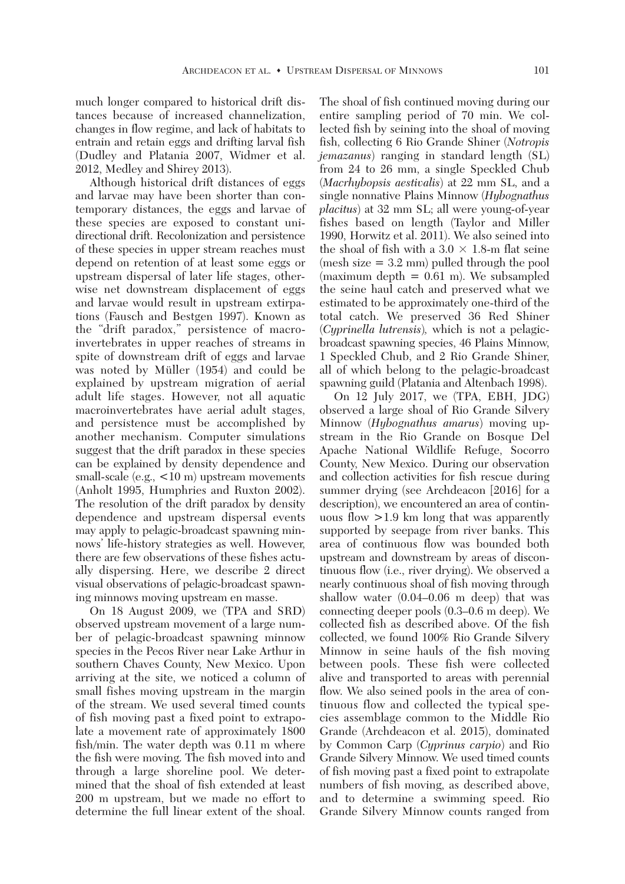much longer compared to historical drift distances because of increased channelization, changes in flow regime, and lack of habitats to entrain and retain eggs and drifting larval fish (Dudley and Platania 2007, Widmer et al. 2012, Medley and Shirey 2013).

 Although historical drift distances of eggs and larvae may have been shorter than contemporary distances, the eggs and larvae of these species are exposed to constant unidirectional drift. Recolonization and persistence of these species in upper stream reaches must depend on retention of at least some eggs or upstream dispersal of later life stages, otherwise net downstream displacement of eggs and larvae would result in upstream extirpations (Fausch and Bestgen 1997). Known as the "drift paradox," persistence of macroinvertebrates in upper reaches of streams in spite of downstream drift of eggs and larvae was noted by Müller (1954) and could be explained by upstream migration of aerial adult life stages. However, not all aquatic macroinvertebrates have aerial adult stages, and persistence must be accomplished by another mechanism. Computer simulations suggest that the drift paradox in these species can be explained by density dependence and small-scale (e.g.,  $\lt 10$  m) upstream movements (Anholt 1995, Humphries and Ruxton 2002). The resolution of the drift paradox by density dependence and upstream dispersal events may apply to pelagic-broadcast spawning minnows' life-history strategies as well. However, there are few observations of these fishes actually dispersing. Here, we describe 2 direct visual observations of pelagic-broadcast spawning minnows moving upstream en masse.

 On 18 August 2009, we (TPA and SRD) observed upstream movement of a large number of pelagic-broadcast spawning minnow species in the Pecos River near Lake Arthur in southern Chaves County, New Mexico. Upon arriving at the site, we noticed a column of small fishes moving upstream in the margin of the stream. We used several timed counts of fish moving past a fixed point to extrapolate a movement rate of approximately 1800 fish/min. The water depth was 0.11 m where the fish were moving. The fish moved into and through a large shoreline pool. We determined that the shoal of fish extended at least 200 m upstream, but we made no effort to determine the full linear extent of the shoal.

The shoal of fish continued moving during our entire sampling period of 70 min. We collected fish by seining into the shoal of moving fish, collecting 6 Rio Grande Shiner (*Notropis jemazanus*) ranging in standard length (SL) from 24 to 26 mm, a single Speckled Chub (*Macrhybopsis aestivalis*) at 22 mm SL, and a single nonnative Plains Minnow (*Hybognathus placitus*) at 32 mm SL; all were young-of-year fishes based on length (Taylor and Miller 1990, Horwitz et al. 2011). We also seined into the shoal of fish with a  $3.0 \times 1.8$ -m flat seine (mesh size = 3.2 mm) pulled through the pool (maximum depth  $= 0.61$  m). We subsampled the seine haul catch and preserved what we estimated to be approximately one-third of the total catch. We preserved 36 Red Shiner (*Cyprinella lutrensis*)*,* which is not a pelagicbroadcast spawning species, 46 Plains Minnow, 1 Speckled Chub, and 2 Rio Grande Shiner, all of which belong to the pelagic-broadcast spawning guild (Platania and Altenbach 1998).

 On 12 July 2017, we (TPA, EBH, JDG) observed a large shoal of Rio Grande Silvery Minnow (*Hybognathus amarus*) moving upstream in the Rio Grande on Bosque Del Apache National Wildlife Refuge, Socorro County, New Mexico. During our observation and collection activities for fish rescue during summer drying (see Archdeacon [2016] for a description), we encountered an area of continuous flow >1.9 km long that was apparently supported by seepage from river banks. This area of continuous flow was bounded both upstream and downstream by areas of discontinuous flow (i.e., river drying). We observed a nearly continuous shoal of fish moving through shallow water (0.04–0.06 m deep) that was connecting deeper pools (0.3–0.6 m deep). We collected fish as described above. Of the fish collected, we found 100% Rio Grande Silvery Minnow in seine hauls of the fish moving between pools. These fish were collected alive and transported to areas with perennial flow. We also seined pools in the area of continuous flow and collected the typical spe cies assemblage common to the Middle Rio Grande (Archdeacon et al. 2015), dominated by Common Carp (*Cyprinus carpio*) and Rio Grande Silvery Minnow. We used timed counts of fish moving past a fixed point to extrapolate numbers of fish moving, as described above, and to determine a swimming speed. Rio Grande Silvery Minnow counts ranged from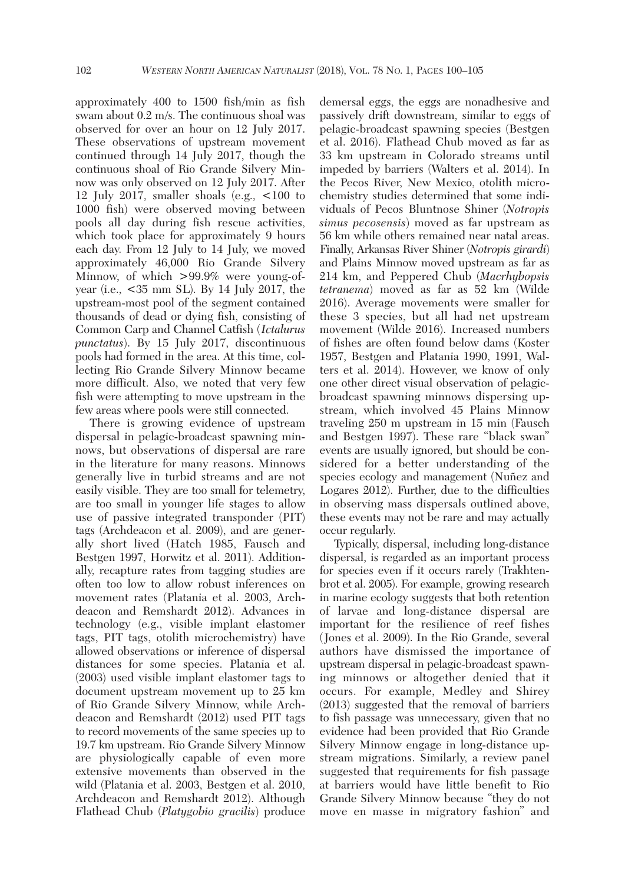approximately 400 to 1500 fish/min as fish swam about 0.2 m/s. The continuous shoal was observed for over an hour on 12 July 2017. These observations of upstream movement continued through 14 July 2017, though the continuous shoal of Rio Grande Silvery Minnow was only observed on 12 July 2017. After 12 July 2017, smaller shoals (e.g., <100 to 1000 fish) were observed moving between pools all day during fish rescue activities, which took place for approximately 9 hours each day. From 12 July to 14 July, we moved approximately 46,000 Rio Grande Silvery Minnow, of which >99.9% were young-ofyear (i.e., <35 mm SL). By 14 July 2017, the upstream-most pool of the segment contained thousands of dead or dying fish, consisting of Common Carp and Channel Catfish (*Ictalurus punctatus*). By 15 July 2017, discontinuous pools had formed in the area. At this time, collecting Rio Grande Silvery Minnow became more difficult. Also, we noted that very few fish were attempting to move upstream in the few areas where pools were still connected.

 There is growing evidence of upstream dispersal in pelagic-broadcast spawning minnows, but observations of dispersal are rare in the literature for many reasons. Minnows generally live in turbid streams and are not easily visible. They are too small for telemetry, are too small in younger life stages to allow use of passive integrated transponder (PIT) tags (Archdeacon et al. 2009), and are generally short lived (Hatch 1985, Fausch and Bestgen 1997, Horwitz et al. 2011). Additionally, recapture rates from tagging studies are often too low to allow robust inferences on movement rates (Platania et al. 2003, Archdeacon and Remshardt 2012). Advances in technology (e.g., visible implant elastomer tags, PIT tags, otolith microchemistry) have allowed observations or inference of dispersal distances for some species. Platania et al. (2003) used visible implant elastomer tags to document upstream movement up to 25 km of Rio Grande Silvery Minnow, while Archdeacon and Remshardt (2012) used PIT tags to record movements of the same species up to 19.7 km upstream. Rio Grande Silvery Minnow are physiologically capable of even more extensive movements than observed in the wild (Platania et al. 2003, Bestgen et al. 2010, Archdeacon and Remshardt 2012). Although Flathead Chub (*Platygobio gracilis*) produce demersal eggs, the eggs are nonadhesive and passively drift downstream, similar to eggs of pelagic-broadcast spawning species (Bestgen et al. 2016). Flathead Chub moved as far as 33 km upstream in Colorado streams until impeded by barriers (Walters et al. 2014). In the Pecos River, New Mexico, otolith microchemistry studies determined that some individuals of Pecos Bluntnose Shiner (*Notropis simus pecosensis*) moved as far upstream as 56 km while others remained near natal areas. Finally, Arkansas River Shiner (*Notropis girardi*) and Plains Minnow moved upstream as far as 214 km, and Peppered Chub (*Macrhybopsis tetranema*) moved as far as 52 km (Wilde 2016). Average movements were smaller for these 3 species, but all had net upstream movement (Wilde 2016). Increased numbers of fishes are often found below dams (Koster 1957, Bestgen and Platania 1990, 1991, Walters et al. 2014). However, we know of only one other direct visual observation of pelagicbroadcast spawning minnows dispersing upstream, which involved 45 Plains Minnow traveling 250 m upstream in 15 min (Fausch and Bestgen 1997). These rare "black swan" events are usually ignored, but should be considered for a better understanding of the species ecology and management (Nuñez and Logares 2012). Further, due to the difficulties in observing mass dispersals outlined above, these events may not be rare and may actually occur regularly.

 Typically, dispersal, including long-distance dispersal, is regarded as an important process for species even if it occurs rarely (Trakhtenbrot et al. 2005). For example, growing research in marine ecology suggests that both retention of larvae and long-distance dispersal are important for the resilience of reef fishes (Jones et al. 2009). In the Rio Grande, several authors have dismissed the importance of upstream dispersal in pelagic-broadcast spawning minnows or altogether denied that it occurs. For example, Medley and Shirey (2013) suggested that the removal of barriers to fish passage was unnecessary, given that no evidence had been provided that Rio Grande Silvery Minnow engage in long-distance upstream migrations. Similarly, a review panel suggested that requirements for fish passage at barriers would have little benefit to Rio Grande Silvery Minnow because "they do not move en masse in migratory fashion" and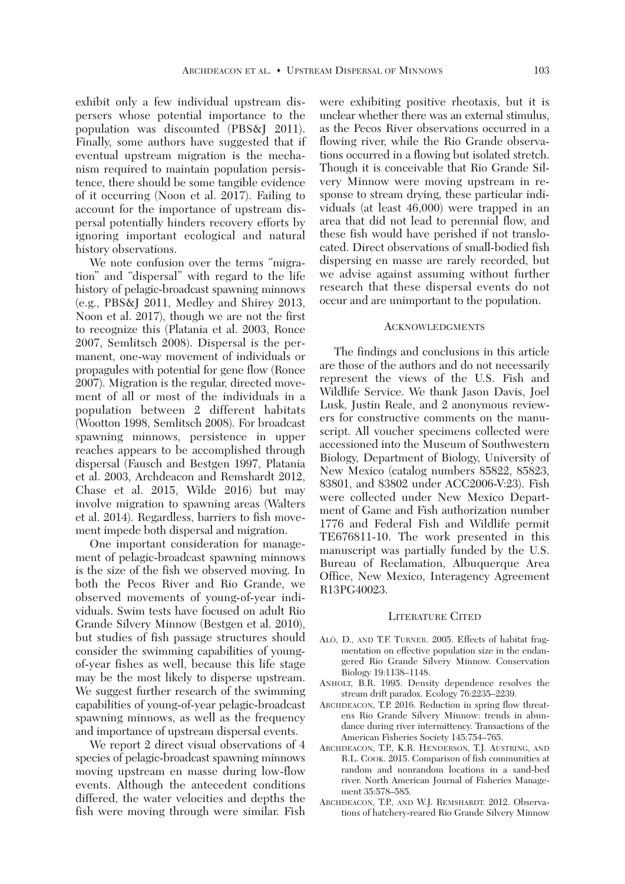exhibit only a few individual upstream dispersers whose potential importance to the population was discounted (PBS&J 2011). Finally, some authors have suggested that if eventual upstream migration is the mechanism required to maintain population persistence, there should be some tangible evidence of it occurring (Noon et al. 2017). Failing to account for the importance of upstream dispersal potentially hinders recovery efforts by ignoring important ecological and natural history observations.

 We note confusion over the terms "migration" and "dispersal" with regard to the life history of pelagic-broadcast spawning minnows (e.g., PBS&J 2011, Medley and Shirey 2013, Noon et al. 2017), though we are not the first to recognize this (Platania et al. 2003, Ronce 2007, Semlitsch 2008). Dispersal is the permanent, one-way movement of individuals or propagules with potential for gene flow (Ronce 2007). Migration is the regular, directed movement of all or most of the individuals in a population between 2 different habitats (Wootton 1998, Semlitsch 2008). For broadcast spawning minnows, persistence in upper reaches appears to be accomplished through dispersal (Fausch and Bestgen 1997, Platania et al. 2003, Archdeacon and Remshardt 2012, Chase et al. 2015, Wilde 2016) but may involve migration to spawning areas (Walters et al. 2014). Regardless, barriers to fish movement impede both dispersal and migration.

 One important consideration for management of pelagic-broadcast spawning minnows is the size of the fish we observed moving. In both the Pecos River and Rio Grande, we observed movements of young-of-year individuals. Swim tests have focused on adult Rio Grande Silvery Minnow (Bestgen et al. 2010), but studies of fish passage structures should consider the swimming capabilities of youngof-year fishes as well, because this life stage may be the most likely to disperse upstream. We suggest further research of the swimming capabilities of young-of-year pelagic-broadcast spawning minnows, as well as the frequency and importance of upstream dispersal events.

We report 2 direct visual observations of 4 species of pelagic-broadcast spawning minnows moving upstream en masse during low-flow events. Although the antecedent conditions differed, the water velocities and depths the fish were moving through were similar. Fish were exhibiting positive rheotaxis, but it is unclear whether there was an external stimulus, as the Pecos River observations occurred in a flowing river, while the Rio Grande observations occurred in a flowing but isolated stretch. Though it is conceivable that Rio Grande Silvery Minnow were moving upstream in response to stream drying, these particular individuals (at least 46,000) were trapped in an area that did not lead to perennial flow, and these fish would have perished if not translocated. Direct observations of small-bodied fish dispersing en masse are rarely recorded, but we advise against assuming without further research that these dispersal events do not occur and are unimportant to the population.

## ACKNOWLEDGMENTS

 The findings and conclusions in this article are those of the authors and do not necessarily represent the views of the U.S. Fish and Wildlife Service. We thank Jason Davis, Joel Lusk, Justin Reale, and 2 anonymous reviewers for constructive comments on the manuscript. All voucher specimens collected were accessioned into the Museum of Southwestern Biology, Department of Biology, University of New Mexico (catalog numbers 85822, 85823, 83801, and 83802 under ACC2006-V:23). Fish were collected under New Mexico Department of Game and Fish authorization number 1776 and Federal Fish and Wildlife permit TE676811-10. The work presented in this manuscript was partially funded by the U.S. Bureau of Reclamation, Albuquerque Area Office, New Mexico, Interagency Agreement R13PG40023.

## LITERATURE CITED

- ALÒ, D., AND T.F. TURNER. 2005. Effects of habitat fragmentation on effective population size in the endangered Rio Grande Silvery Minnow. Conservation Biology 19:1138–1148.
- ANHOLT, B.R. 1995. Density dependence resolves the stream drift paradox. Ecology 76:2235–2239.
- ARCHDEACON, T.P. 2016. Reduction in spring flow threatens Rio Grande Silvery Minnow: trends in abundance during river intermittency. Transactions of the American Fisheries Society 145:754–765.
- ARCHDEACON, T.P., K.R. HENDERSON, T.J. AUSTRING, AND R.L. COOK. 2015. Comparison of fish communities at random and nonrandom locations in a sand-bed river. North American Journal of Fisheries Management 35:578–585.
- ARCHDEACON, T.P., AND W.J. REMSHARDT. 2012. Observations of hatchery-reared Rio Grande Silvery Minnow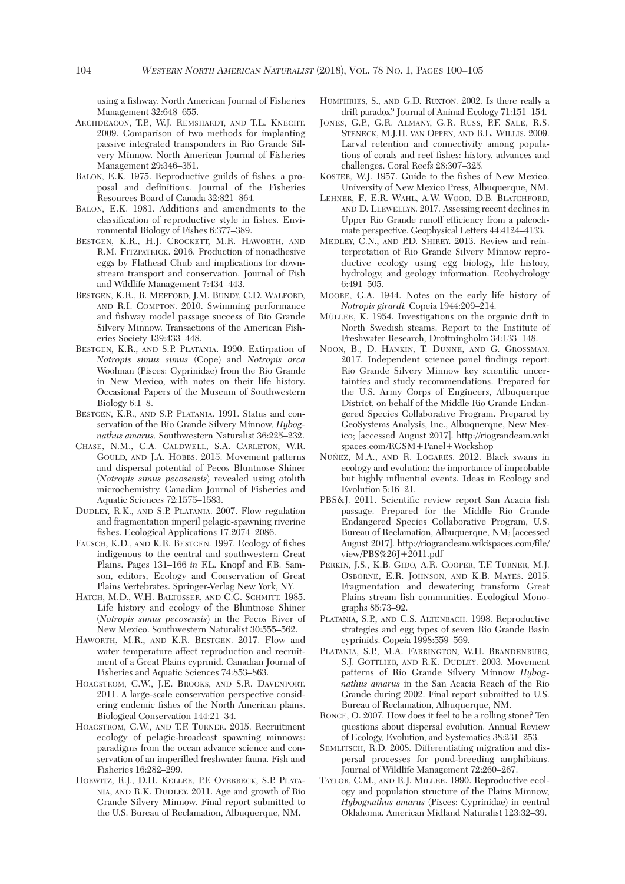using a fishway. North American Journal of Fisheries Management 32:648–655.

- ARCHDEACON, T.P., W.J. REMSHARDT, AND T.L. KNECHT. 2009. Comparison of two methods for implanting passive integrated transponders in Rio Grande Silvery Minnow. North American Journal of Fisheries Management 29:346–351.
- BALON, E.K. 1975. Reproductive guilds of fishes: a proposal and definitions. Journal of the Fisheries Resources Board of Canada 32:821–864.
- BALON, E.K. 1981. Additions and amendments to the classification of reproductive style in fishes. Environmental Biology of Fishes 6:377–389.
- BESTGEN, K.R., H.J. CROCKETT, M.R. HAWORTH, AND R.M. FITZPATRICK. 2016. Production of nonadhesive eggs by Flathead Chub and implications for downstream transport and conservation. Journal of Fish and Wildlife Management 7:434–443.
- BESTGEN, K.R., B. MEFFORD, J.M. BUNDY, C.D. WALFORD, AND R.I. COMPTON. 2010. Swimming performance and fishway model passage success of Rio Grande Silvery Minnow. Transactions of the American Fisheries Society 139:433–448.
- BESTGEN, K.R., AND S.P. PLATANIA. 1990. Extirpation of *Notropis simus simus* (Cope) and *Notropis orca* Woolman (Pisces: Cyprinidae) from the Rio Grande in New Mexico, with notes on their life history. Occasional Papers of the Museum of Southwestern Biology 6:1–8.
- BESTGEN, K.R., AND S.P. PLATANIA. 1991. Status and conservation of the Rio Grande Silvery Minnow, *Hybognathus amarus.* Southwestern Naturalist 36:225–232.
- CHASE, N.M., C.A. CALDWELL, S.A. CARLETON, W.R. GOULD, AND J.A. HOBBS. 2015. Movement patterns and dispersal potential of Pecos Bluntnose Shiner (*Notropis simus pecosensis*) revealed using otolith microchemistry. Canadian Journal of Fisheries and Aquatic Sciences 72:1575–1583.
- DUDLEY, R.K., AND S.P. PLATANIA. 2007. Flow regulation and fragmentation imperil pelagic-spawning riverine fishes. Ecological Applications 17:2074–2086.
- FAUSCH, K.D., AND K.R. BESTGEN. 1997. Ecology of fishes indigenous to the central and southwestern Great Plains. Pages 131–166 *in* F.L. Knopf and F.B. Samson, editors, Ecology and Conservation of Great Plains Vertebrates. Springer-Verlag New York, NY.
- HATCH, M.D., W.H. BALTOSSER, AND C.G. SCHMITT. 1985. Life history and ecology of the Bluntnose Shiner (*Notropis simus pecosensis*) in the Pecos River of New Mexico. Southwestern Naturalist 30:555–562.
- HAWORTH, M.R., AND K.R. BESTGEN. 2017. Flow and water temperature affect reproduction and recruitment of a Great Plains cyprinid. Canadian Journal of Fisheries and Aquatic Sciences 74:853–863.
- HOAGSTROM, C.W., J.E. BROOKS, AND S.R. DAVENPORT. 2011. A large-scale conservation perspective considering endemic fishes of the North American plains. Biological Conservation 144:21–34.
- HOAGSTROM, C.W., AND T.F. TURNER. 2015. Recruitment ecology of pelagic-broadcast spawning minnows: paradigms from the ocean advance science and conservation of an imperilled freshwater fauna. Fish and Fisheries 16:282–299.
- HORWITZ, R.J., D.H. KELLER, P.F. OVERBECK, S.P. PLATA-NIA, AND R.K. DUDLEY. 2011. Age and growth of Rio Grande Silvery Minnow. Final report submitted to the U.S. Bureau of Reclamation, Albuquerque, NM.
- HUMPHRIES, S., AND G.D. RUXTON. 2002. Is there really a drift paradox? Journal of Animal Ecology 71:151–154.
- JONES, G.P., G.R. ALMANY, G.R. RUSS, P.F. SALE, R.S. STENECK, M.J.H. VAN OPPEN, AND B.L. WILLIS. 2009. Larval retention and connectivity among populations of corals and reef fishes: history, advances and challenges. Coral Reefs 28:307–325.
- KOSTER, W.J. 1957. Guide to the fishes of New Mexico. University of New Mexico Press, Albuquerque, NM.
- LEHNER, F., E.R. WAHL, A.W. WOOD, D.B. BLATCHFORD, AND D. LLEWELLYN. 2017. Assessing recent declines in Upper Rio Grande runoff efficiency from a paleoclimate perspective. Geophysical Letters 44:4124–4133.
- MEDLEY, C.N., AND P.D. SHIREY. 2013. Review and reinterpretation of Rio Grande Silvery Minnow reproductive ecology using egg biology, life history, hydrology, and geology information. Ecohydrology 6:491–505.
- MOORE, G.A. 1944. Notes on the early life history of *Notropis girardi.* Copeia 1944:209–214.
- MÜLLER, K. 1954. Investigations on the organic drift in North Swedish steams. Report to the Institute of Freshwater Research, Drottningholm 34:133–148.
- NOON, B., D. HANKIN, T. DUNNE, AND G. GROSSMAN. 2017. Independent science panel findings report: Rio Grande Silvery Minnow key scientific uncertainties and study recommendations. Prepared for the U.S. Army Corps of Engineers, Albuquerque District, on behalf of the Middle Rio Grande Endangered Species Collaborative Program. Prepared by GeoSystems Analysis, Inc., Albuquerque, New Mexico; [accessed August 2017]. http://riograndeam.wiki spaces.com/RGSM+Panel+Workshop
- NUÑEZ, M.A., AND R. LOGARES. 2012. Black swans in ecology and evolution: the importance of improbable but highly influential events. Ideas in Ecology and Evolution 5:16–21.
- PBS&J. 2011. Scientific review report San Acacia fish passage. Prepared for the Middle Rio Grande Endangered Species Collaborative Program, U.S. Bureau of Reclamation, Albuquerque, NM; [accessed August 2017]. http://riograndeam.wikispaces.com/file/ view/PBS%26J+2011.pdf
- PERKIN, J.S., K.B. GIDO, A.R. COOPER, T.F. TURNER, M.J. OSBORNE, E.R. JOHNSON, AND K.B. MAYES. 2015. Fragmentation and dewatering transform Great Plains stream fish communities. Ecological Monographs 85:73–92.
- PLATANIA, S.P., AND C.S. ALTENBACH. 1998. Reproductive strategies and egg types of seven Rio Grande Basin cyprinids. Copeia 1998:559–569.
- PLATANIA, S.P., M.A. FARRINGTON, W.H. BRANDENBURG, S.J. GOTTLIEB, AND R.K. DUDLEY. 2003. Movement patterns of Rio Grande Silvery Minnow *Hybognathus amarus* in the San Acacia Reach of the Rio Grande during 2002. Final report submitted to U.S. Bureau of Reclamation, Albuquerque, NM.
- RONCE, O. 2007. How does it feel to be a rolling stone? Ten questions about dispersal evolution. Annual Review of Ecology, Evolution, and Systematics 38:231–253.
- SEMLITSCH, R.D. 2008. Differentiating migration and dispersal processes for pond-breeding amphibians. Journal of Wildlife Management 72:260–267.
- TAYLOR, C.M., AND R.J. MILLER. 1990. Reproductive ecology and population structure of the Plains Minnow, *Hybognathus amarus* (Pisces: Cyprinidae) in central Oklahoma. American Midland Naturalist 123:32–39.